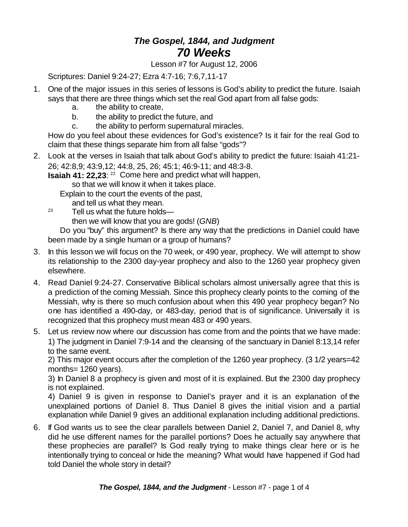## *The Gospel, 1844, and Judgment 70 Weeks*

Lesson #7 for August 12, 2006

Scriptures: Daniel 9:24-27; Ezra 4:7-16; 7:6,7,11-17

- 1. One of the major issues in this series of lessons is God's ability to predict the future. Isaiah says that there are three things which set the real God apart from all false gods:
	- a. the ability to create,
	- b. the ability to predict the future, and
	- c. the ability to perform supernatural miracles.

How do you feel about these evidences for God's existence? Is it fair for the real God to claim that these things separate him from all false "gods"?

2. Look at the verses in Isaiah that talk about God's ability to predict the future: Isaiah 41:21- 26; 42:8,9; 43:9,12; 44:8, 25, 26; 45:1; 46:9-11; and 48:3-8.

**Isaiah 41: 22,23:** <sup>22</sup> Come here and predict what will happen,

so that we will know it when it takes place.

Explain to the court the events of the past,

and tell us what they mean.

 $23$  Tell us what the future holds—

then we will know that you are gods! (*GNB*)

Do you "buy" this argument? Is there any way that the predictions in Daniel could have been made by a single human or a group of humans?

- 3. In this lesson we will focus on the 70 week, or 490 year, prophecy. We will attempt to show its relationship to the 2300 day-year prophecy and also to the 1260 year prophecy given elsewhere.
- 4. Read Daniel 9:24-27. Conservative Biblical scholars almost universally agree that this is a prediction of the coming Messiah. Since this prophecy clearly points to the coming of the Messiah, why is there so much confusion about when this 490 year prophecy began? No one has identified a 490-day, or 483-day, period that is of significance. Universally it is recognized that this prophecy must mean 483 or 490 years.
- 5. Let us review now where our discussion has come from and the points that we have made: 1) The judgment in Daniel 7:9-14 and the cleansing of the sanctuary in Daniel 8:13,14 refer to the same event.

2) This major event occurs after the completion of the 1260 year prophecy. (3 1/2 years=42 months= 1260 years).

3) In Daniel 8 a prophecy is given and most of it is explained. But the 2300 day prophecy is not explained.

4) Daniel 9 is given in response to Daniel's prayer and it is an explanation of the unexplained portions of Daniel 8. Thus Daniel 8 gives the initial vision and a partial explanation while Daniel 9 gives an additional explanation including additional predictions.

6. If God wants us to see the clear parallels between Daniel 2, Daniel 7, and Daniel 8, why did he use different names for the parallel portions? Does he actually say anywhere that these prophecies are parallel? Is God really trying to make things clear here or is he intentionally trying to conceal or hide the meaning? What would have happened if God had told Daniel the whole story in detail?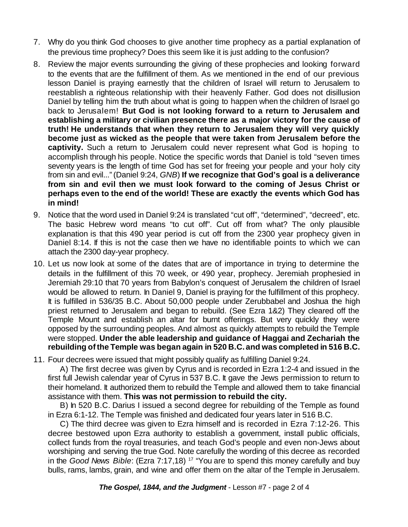- 7. Why do you think God chooses to give another time prophecy as a partial explanation of the previous time prophecy? Does this seem like it is just adding to the confusion?
- 8. Review the major events surrounding the giving of these prophecies and looking forward to the events that are the fulfillment of them. As we mentioned in the end of our previous lesson Daniel is praying earnestly that the children of Israel will return to Jerusalem to reestablish a righteous relationship with their heavenly Father. God does not disillusion Daniel by telling him the truth about what is going to happen when the children of Israel go back to Jerusalem! **But God is not looking forward to a return to Jerusalem and establishing a military or civilian presence there as a major victory for the cause of truth! He understands that when they return to Jerusalem they will very quickly become just as wicked as the people that were taken from Jerusalem before the captivity.** Such a return to Jerusalem could never represent what God is hoping to accomplish through his people. Notice the specific words that Daniel is told "seven times seventy years is the length of time God has set for freeing your people and your holy city from sin and evil..." (Daniel 9:24, *GNB*) **If we recognize that God's goal is a deliverance from sin and evil then we must look forward to the coming of Jesus Christ or perhaps even to the end of the world! These are exactly the events which God has in mind!**
- 9. Notice that the word used in Daniel 9:24 is translated "cut off", "determined", "decreed", etc. The basic Hebrew word means "to cut off". Cut off from what? The only plausible explanation is that this 490 year period is cut off from the 2300 year prophecy given in Daniel 8:14. If this is not the case then we have no identifiable points to which we can attach the 2300 day-year prophecy.
- 10. Let us now look at some of the dates that are of importance in trying to determine the details in the fulfillment of this 70 week, or 490 year, prophecy. Jeremiah prophesied in Jeremiah 29:10 that 70 years from Babylon's conquest of Jerusalem the children of Israel would be allowed to return. In Daniel 9, Daniel is praying for the fulfillment of this prophecy. It is fulfilled in 536/35 B.C. About 50,000 people under Zerubbabel and Joshua the high priest returned to Jerusalem and began to rebuild. (See Ezra 1&2) They cleared off the Temple Mount and establish an altar for burnt offerings. But very quickly they were opposed by the surrounding peoples. And almost as quickly attempts to rebuild the Temple were stopped. **Under the able leadership and guidance of Haggai and Zechariah the rebuilding ofthe Temple was began again in 520 B.C. and was completed in 516 B.C.**
- 11. Four decrees were issued that might possibly qualify as fulfilling Daniel 9:24.

A) The first decree was given by Cyrus and is recorded in Ezra 1:2-4 and issued in the first full Jewish calendar year of Cyrus in 537 B.C. It gave the Jews permission to return to their homeland. It authorized them to rebuild the Temple and allowed them to take financial assistance with them. **This was not permission to rebuild the city.**

B) In 520 B.C. Darius I issued a second degree for rebuilding of the Temple as found in Ezra 6:1-12. The Temple was finished and dedicated four years later in 516 B.C.

C) The third decree was given to Ezra himself and is recorded in Ezra 7:12-26. This decree bestowed upon Ezra authority to establish a government, install public officials, collect funds from the royal treasuries, and teach God's people and even non-Jews about worshiping and serving the true God. Note carefully the wording of this decree as recorded in the *Good News Bible*: (Ezra 7:17,18) <sup>17</sup> "You are to spend this money carefully and buy bulls, rams, lambs, grain, and wine and offer them on the altar of the Temple in Jerusalem.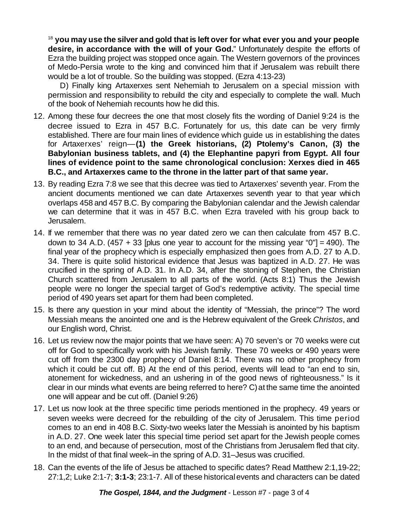<sup>18</sup> **you may use the silver and gold that is left over for what ever you and your people desire, in accordance with the will of your God.**" Unfortunately despite the efforts of Ezra the building project was stopped once again. The Western governors of the provinces of Medo-Persia wrote to the king and convinced him that if Jerusalem was rebuilt there would be a lot of trouble. So the building was stopped. (Ezra 4:13-23)

D) Finally king Artaxerxes sent Nehemiah to Jerusalem on a special mission with permission and responsibility to rebuild the city and especially to complete the wall. Much of the book of Nehemiah recounts how he did this.

- 12. Among these four decrees the one that most closely fits the wording of Daniel 9:24 is the decree issued to Ezra in 457 B.C. Fortunately for us, this date can be very firmly established. There are four main lines of evidence which guide us in establishing the dates for Artaxerxes' reign—**(1) the Greek historians, (2) Ptolemy's Canon, (3) the Babylonian business tablets, and (4) the Elephantine papyri from Egypt. All four lines of evidence point to the same chronological conclusion: Xerxes died in 465 B.C., and Artaxerxes came to the throne in the latter part of that same year.**
- 13. By reading Ezra 7:8 we see that this decree was tied to Artaxerxes' seventh year. From the ancient documents mentioned we can date Artaxerxes seventh year to that year which overlaps 458 and 457 B.C. By comparing the Babylonian calendar and the Jewish calendar we can determine that it was in 457 B.C. when Ezra traveled with his group back to Jerusalem.
- 14. If we remember that there was no year dated zero we can then calculate from 457 B.C. down to 34 A.D. (457 + 33 [plus one year to account for the missing year "0"] = 490). The final year of the prophecy which is especially emphasized then goes from A.D. 27 to A.D. 34. There is quite solid historical evidence that Jesus was baptized in A.D. 27. He was crucified in the spring of A.D. 31. In A.D. 34, after the stoning of Stephen, the Christian Church scattered from Jerusalem to all parts of the world. (Acts 8:1) Thus the Jewish people were no longer the special target of God's redemptive activity. The special time period of 490 years set apart for them had been completed.
- 15. Is there any question in your mind about the identity of "Messiah, the prince"? The word Messiah means the anointed one and is the Hebrew equivalent of the Greek *Christos*, and our English word, Christ.
- 16. Let us review now the major points that we have seen: A) 70 seven's or 70 weeks were cut off for God to specifically work with his Jewish family. These 70 weeks or 490 years were cut off from the 2300 day prophecy of Daniel 8:14. There was no other prophecy from which it could be cut off. B) At the end of this period, events will lead to "an end to sin, atonement for wickedness, and an ushering in of the good news of righteousness." Is it clear in our minds what events are being referred to here? C)at the same time the anointed one will appear and be cut off. (Daniel 9:26)
- 17. Let us now look at the three specific time periods mentioned in the prophecy. 49 years or seven weeks were decreed for the rebuilding of the city of Jerusalem. This time period comes to an end in 408 B.C. Sixty-two weeks later the Messiah is anointed by his baptism in A.D. 27. One week later this special time period set apart for the Jewish people comes to an end, and because of persecution, most of the Christians from Jerusalem fled that city. In the midst of that final week–in the spring of A.D. 31–Jesus was crucified.
- 18. Can the events of the life of Jesus be attached to specific dates? Read Matthew 2:1,19-22; 27:1,2; Luke 2:1-7; **3:1-3**; 23:1-7. All of these historicalevents and characters can be dated